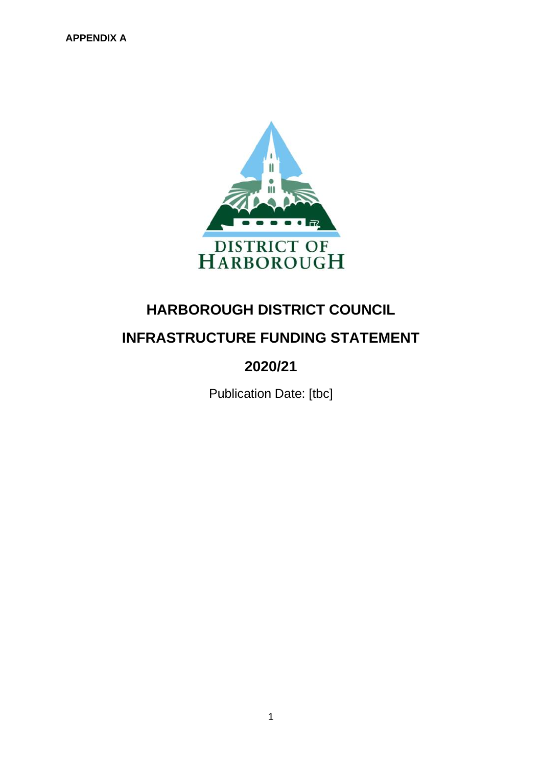

# **HARBOROUGH DISTRICT COUNCIL INFRASTRUCTURE FUNDING STATEMENT**

# **2020/21**

Publication Date: [tbc]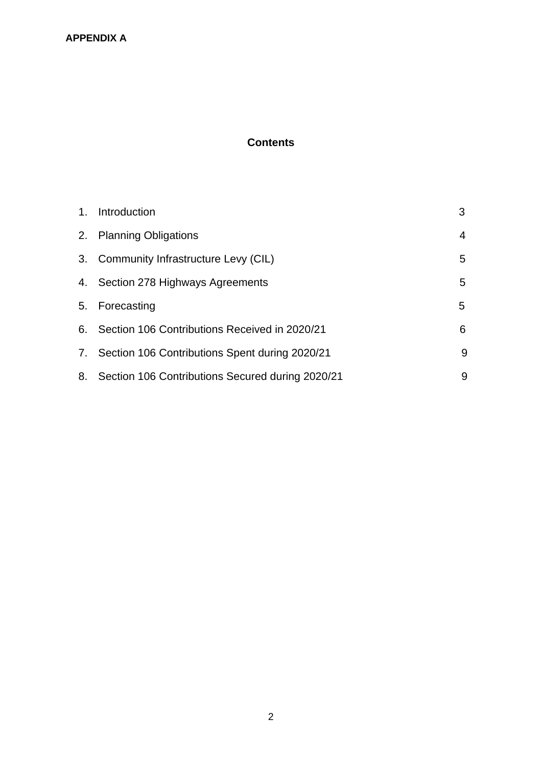# **Contents**

| 1. Introduction                                     | 3 |
|-----------------------------------------------------|---|
| 2. Planning Obligations                             | 4 |
| 3. Community Infrastructure Levy (CIL)              | 5 |
| 4. Section 278 Highways Agreements                  | 5 |
| 5. Forecasting                                      | 5 |
| 6. Section 106 Contributions Received in 2020/21    | 6 |
| 7. Section 106 Contributions Spent during 2020/21   | 9 |
| 8. Section 106 Contributions Secured during 2020/21 | 9 |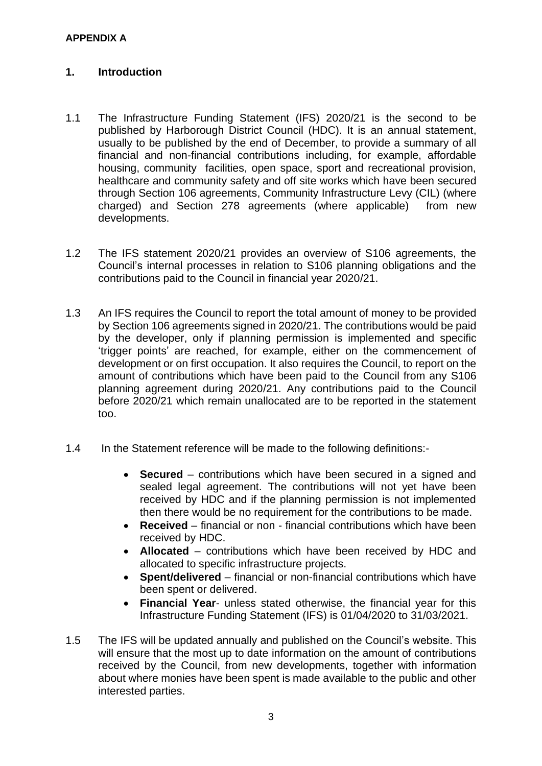### **1. Introduction**

- 1.1 The Infrastructure Funding Statement (IFS) 2020/21 is the second to be published by Harborough District Council (HDC). It is an annual statement, usually to be published by the end of December, to provide a summary of all financial and non-financial contributions including, for example, affordable housing, community facilities, open space, sport and recreational provision, healthcare and community safety and off site works which have been secured through Section 106 agreements, Community Infrastructure Levy (CIL) (where charged) and Section 278 agreements (where applicable) from new developments.
- 1.2 The IFS statement 2020/21 provides an overview of S106 agreements, the Council's internal processes in relation to S106 planning obligations and the contributions paid to the Council in financial year 2020/21.
- 1.3 An IFS requires the Council to report the total amount of money to be provided by Section 106 agreements signed in 2020/21. The contributions would be paid by the developer, only if planning permission is implemented and specific 'trigger points' are reached, for example, either on the commencement of development or on first occupation. It also requires the Council, to report on the amount of contributions which have been paid to the Council from any S106 planning agreement during 2020/21. Any contributions paid to the Council before 2020/21 which remain unallocated are to be reported in the statement too.
- 1.4 In the Statement reference will be made to the following definitions:-
	- **Secured**  contributions which have been secured in a signed and sealed legal agreement. The contributions will not yet have been received by HDC and if the planning permission is not implemented then there would be no requirement for the contributions to be made.
	- **Received** financial or non financial contributions which have been received by HDC.
	- **Allocated**  contributions which have been received by HDC and allocated to specific infrastructure projects.
	- **Spent/delivered** financial or non-financial contributions which have been spent or delivered.
	- **Financial Year** unless stated otherwise, the financial year for this Infrastructure Funding Statement (IFS) is 01/04/2020 to 31/03/2021.
- 1.5 The IFS will be updated annually and published on the Council's website. This will ensure that the most up to date information on the amount of contributions received by the Council, from new developments, together with information about where monies have been spent is made available to the public and other interested parties.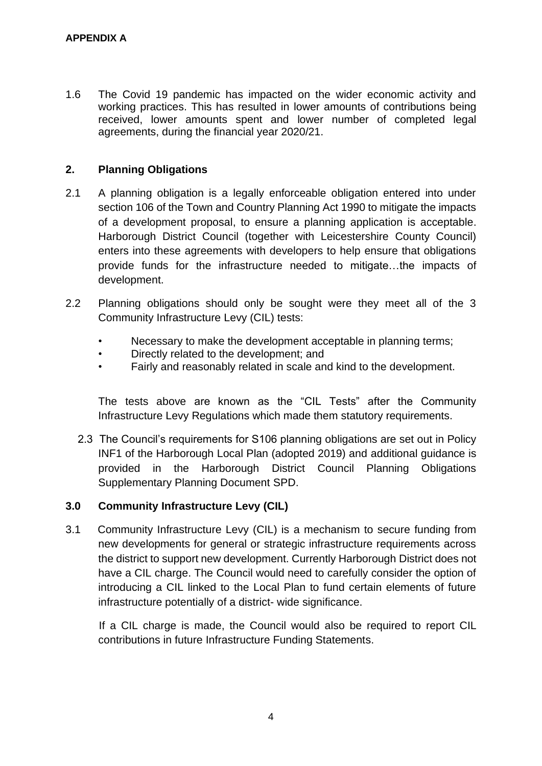1.6 The Covid 19 pandemic has impacted on the wider economic activity and working practices. This has resulted in lower amounts of contributions being received, lower amounts spent and lower number of completed legal agreements, during the financial year 2020/21.

### **2. Planning Obligations**

- 2.1 A planning obligation is a legally enforceable obligation entered into under section 106 of the Town and Country Planning Act 1990 to mitigate the impacts of a development proposal, to ensure a planning application is acceptable. Harborough District Council (together with Leicestershire County Council) enters into these agreements with developers to help ensure that obligations provide funds for the infrastructure needed to mitigate…the impacts of development.
- 2.2 Planning obligations should only be sought were they meet all of the 3 Community Infrastructure Levy (CIL) tests:
	- Necessary to make the development acceptable in planning terms;
	- Directly related to the development; and
	- Fairly and reasonably related in scale and kind to the development.

The tests above are known as the "CIL Tests" after the Community Infrastructure Levy Regulations which made them statutory requirements.

 2.3 The Council's requirements for S106 planning obligations are set out in Policy INF1 of the Harborough Local Plan (adopted 2019) and additional guidance is provided in the Harborough District Council Planning Obligations Supplementary Planning Document SPD.

### **3.0 Community Infrastructure Levy (CIL)**

3.1 Community Infrastructure Levy (CIL) is a mechanism to secure funding from new developments for general or strategic infrastructure requirements across the district to support new development. Currently Harborough District does not have a CIL charge. The Council would need to carefully consider the option of introducing a CIL linked to the Local Plan to fund certain elements of future infrastructure potentially of a district- wide significance.

 If a CIL charge is made, the Council would also be required to report CIL contributions in future Infrastructure Funding Statements.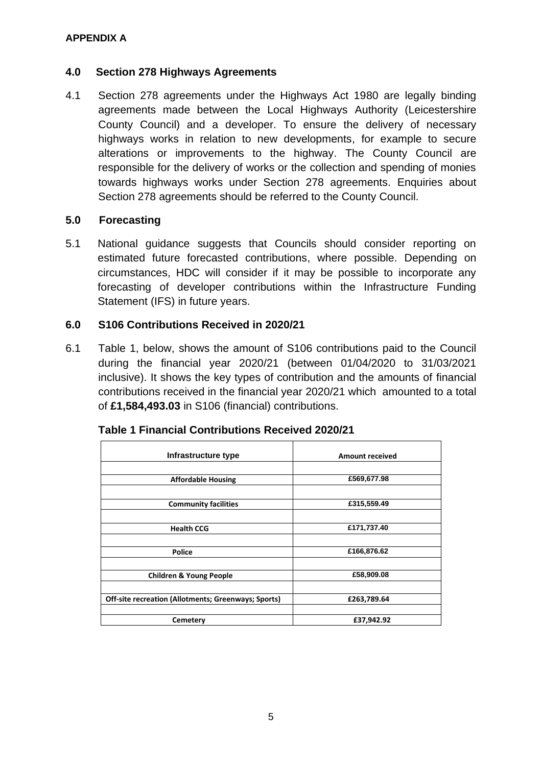### **4.0 Section 278 Highways Agreements**

4.1 Section 278 agreements under the Highways Act 1980 are legally binding agreements made between the Local Highways Authority (Leicestershire County Council) and a developer. To ensure the delivery of necessary highways works in relation to new developments, for example to secure alterations or improvements to the highway. The County Council are responsible for the delivery of works or the collection and spending of monies towards highways works under Section 278 agreements. Enquiries about Section 278 agreements should be referred to the County Council.

#### **5.0 Forecasting**

5.1 National guidance suggests that Councils should consider reporting on estimated future forecasted contributions, where possible. Depending on circumstances, HDC will consider if it may be possible to incorporate any forecasting of developer contributions within the Infrastructure Funding Statement (IFS) in future years.

### **6.0 S106 Contributions Received in 2020/21**

6.1 Table 1, below, shows the amount of S106 contributions paid to the Council during the financial year 2020/21 (between 01/04/2020 to 31/03/2021 inclusive). It shows the key types of contribution and the amounts of financial contributions received in the financial year 2020/21 which amounted to a total of **£1,584,493.03** in S106 (financial) contributions.

| Infrastructure type                                 | <b>Amount received</b> |
|-----------------------------------------------------|------------------------|
|                                                     |                        |
| <b>Affordable Housing</b>                           | £569,677.98            |
|                                                     |                        |
| <b>Community facilities</b>                         | £315,559.49            |
|                                                     |                        |
| <b>Health CCG</b>                                   | £171,737.40            |
|                                                     |                        |
| <b>Police</b>                                       | £166,876.62            |
|                                                     |                        |
| <b>Children &amp; Young People</b>                  | £58,909.08             |
|                                                     |                        |
| Off-site recreation (Allotments; Greenways; Sports) | £263,789.64            |
|                                                     |                        |
| Cemetery                                            | £37,942.92             |

|  |  | Table 1 Financial Contributions Received 2020/21 |  |  |
|--|--|--------------------------------------------------|--|--|
|--|--|--------------------------------------------------|--|--|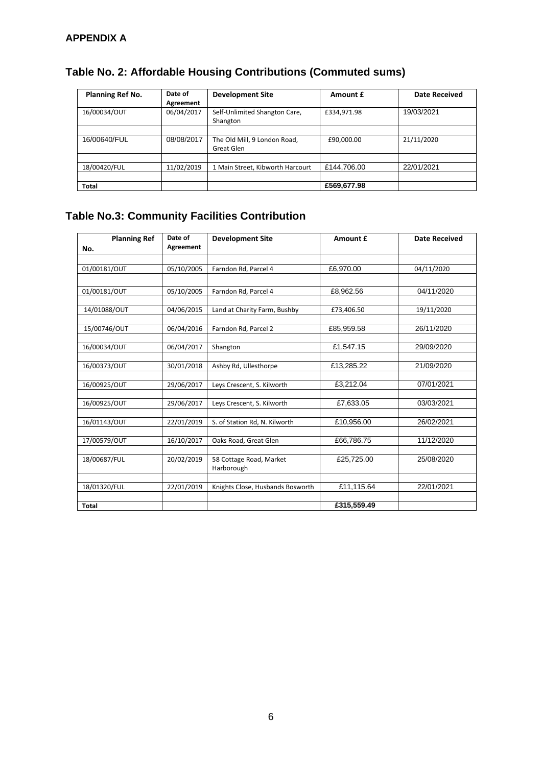| <b>Planning Ref No.</b> | Date of<br>Agreement | <b>Development Site</b>                    | Amount £    | Date Received |
|-------------------------|----------------------|--------------------------------------------|-------------|---------------|
| 16/00034/OUT            | 06/04/2017           | Self-Unlimited Shangton Care,<br>Shangton  | £334,971.98 | 19/03/2021    |
|                         |                      |                                            |             |               |
| 16/00640/FUL            | 08/08/2017           | The Old Mill, 9 London Road,<br>Great Glen | £90,000.00  | 21/11/2020    |
|                         |                      |                                            |             |               |
| 18/00420/FUL            | 11/02/2019           | 1 Main Street, Kibworth Harcourt           | £144,706.00 | 22/01/2021    |
|                         |                      |                                            |             |               |
| <b>Total</b>            |                      |                                            | £569,677.98 |               |

# **Table No. 2: Affordable Housing Contributions (Commuted sums)**

# **Table No.3: Community Facilities Contribution**

| <b>Planning Ref</b><br>No. | Date of<br>Agreement | <b>Development Site</b>          | Amount £    | <b>Date Received</b> |
|----------------------------|----------------------|----------------------------------|-------------|----------------------|
|                            |                      |                                  |             |                      |
| 01/00181/OUT               | 05/10/2005           | Farndon Rd, Parcel 4             | £6,970.00   | 04/11/2020           |
|                            |                      |                                  |             |                      |
| 01/00181/OUT               | 05/10/2005           | Farndon Rd, Parcel 4             | £8,962.56   | 04/11/2020           |
|                            |                      |                                  |             |                      |
| 14/01088/OUT               | 04/06/2015           | Land at Charity Farm, Bushby     | £73,406.50  | 19/11/2020           |
|                            |                      |                                  |             |                      |
| 15/00746/OUT               | 06/04/2016           | Farndon Rd, Parcel 2             | £85,959.58  | 26/11/2020           |
|                            |                      |                                  |             |                      |
| 16/00034/OUT               | 06/04/2017           | Shangton                         | £1,547.15   | 29/09/2020           |
|                            |                      |                                  |             |                      |
| 16/00373/OUT               | 30/01/2018           | Ashby Rd, Ullesthorpe            | £13,285.22  | 21/09/2020           |
| 16/00925/OUT               | 29/06/2017           | Leys Crescent, S. Kilworth       | £3,212.04   | 07/01/2021           |
|                            |                      |                                  |             |                      |
| 16/00925/OUT               | 29/06/2017           | Leys Crescent, S. Kilworth       | £7,633.05   | 03/03/2021           |
|                            |                      |                                  |             |                      |
| 16/01143/OUT               | 22/01/2019           | S. of Station Rd, N. Kilworth    | £10,956.00  | 26/02/2021           |
|                            |                      |                                  |             |                      |
| 17/00579/OUT               | 16/10/2017           | Oaks Road, Great Glen            | £66,786.75  | 11/12/2020           |
|                            |                      |                                  |             |                      |
| 18/00687/FUL               | 20/02/2019           | 58 Cottage Road, Market          | £25,725.00  | 25/08/2020           |
|                            |                      | Harborough                       |             |                      |
| 18/01320/FUL               | 22/01/2019           | Knights Close, Husbands Bosworth | £11,115.64  | 22/01/2021           |
|                            |                      |                                  |             |                      |
| <b>Total</b>               |                      |                                  | £315,559.49 |                      |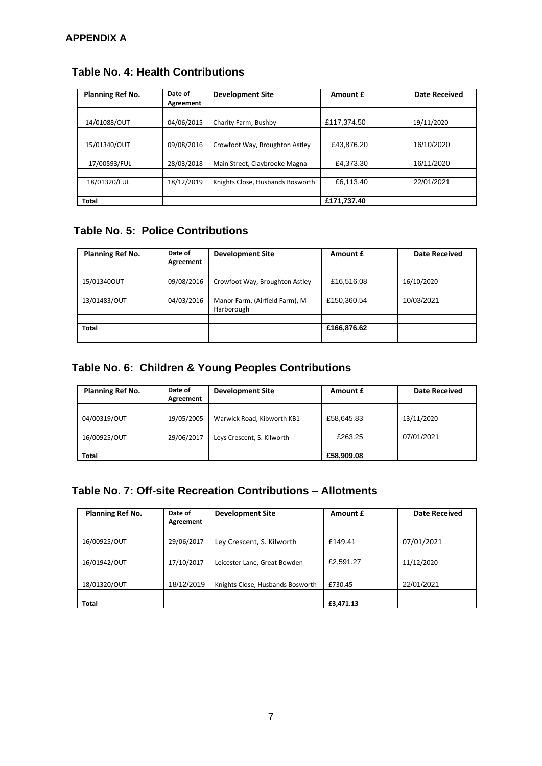| Planning Ref No. | Date of<br>Agreement | <b>Development Site</b>          | Amount £    | <b>Date Received</b> |
|------------------|----------------------|----------------------------------|-------------|----------------------|
|                  |                      |                                  |             |                      |
| 14/01088/OUT     | 04/06/2015           | Charity Farm, Bushby             | £117,374.50 | 19/11/2020           |
|                  |                      |                                  |             |                      |
| 15/01340/OUT     | 09/08/2016           | Crowfoot Way, Broughton Astley   | £43,876.20  | 16/10/2020           |
|                  |                      |                                  |             |                      |
| 17/00593/FUL     | 28/03/2018           | Main Street, Claybrooke Magna    | £4,373.30   | 16/11/2020           |
|                  |                      |                                  |             |                      |
| 18/01320/FUL     | 18/12/2019           | Knights Close, Husbands Bosworth | £6,113.40   | 22/01/2021           |
|                  |                      |                                  |             |                      |
| <b>Total</b>     |                      |                                  | £171,737.40 |                      |

# **Table No. 4: Health Contributions**

# **Table No. 5: Police Contributions**

| Planning Ref No. | Date of<br>Agreement | <b>Development Site</b>                      | Amount £    | <b>Date Received</b> |
|------------------|----------------------|----------------------------------------------|-------------|----------------------|
|                  |                      |                                              |             |                      |
| 15/01340OUT      | 09/08/2016           | Crowfoot Way, Broughton Astley               | £16,516.08  | 16/10/2020           |
|                  |                      |                                              |             |                      |
| 13/01483/OUT     | 04/03/2016           | Manor Farm, (Airfield Farm), M<br>Harborough | £150.360.54 | 10/03/2021           |
|                  |                      |                                              |             |                      |
| <b>Total</b>     |                      |                                              | £166,876.62 |                      |

# **Table No. 6: Children & Young Peoples Contributions**

| Planning Ref No. | Date of<br>Agreement | <b>Development Site</b>    | Amount £   | <b>Date Received</b> |
|------------------|----------------------|----------------------------|------------|----------------------|
|                  |                      |                            |            |                      |
| 04/00319/OUT     | 19/05/2005           | Warwick Road, Kibworth KB1 | £58,645.83 | 13/11/2020           |
|                  |                      |                            |            |                      |
| 16/00925/OUT     | 29/06/2017           | Leys Crescent, S. Kilworth | £263.25    | 07/01/2021           |
|                  |                      |                            |            |                      |
| <b>Total</b>     |                      |                            | £58,909.08 |                      |

# **Table No. 7: Off-site Recreation Contributions – Allotments**

| <b>Planning Ref No.</b> | Date of<br>Agreement | <b>Development Site</b>          | Amount £  | <b>Date Received</b> |
|-------------------------|----------------------|----------------------------------|-----------|----------------------|
|                         |                      |                                  |           |                      |
| 16/00925/OUT            | 29/06/2017           | Ley Crescent, S. Kilworth        | £149.41   | 07/01/2021           |
|                         |                      |                                  |           |                      |
| 16/01942/OUT            | 17/10/2017           | Leicester Lane, Great Bowden     | £2,591.27 | 11/12/2020           |
|                         |                      |                                  |           |                      |
| 18/01320/OUT            | 18/12/2019           | Knights Close, Husbands Bosworth | £730.45   | 22/01/2021           |
|                         |                      |                                  |           |                      |
| <b>Total</b>            |                      |                                  | £3,471.13 |                      |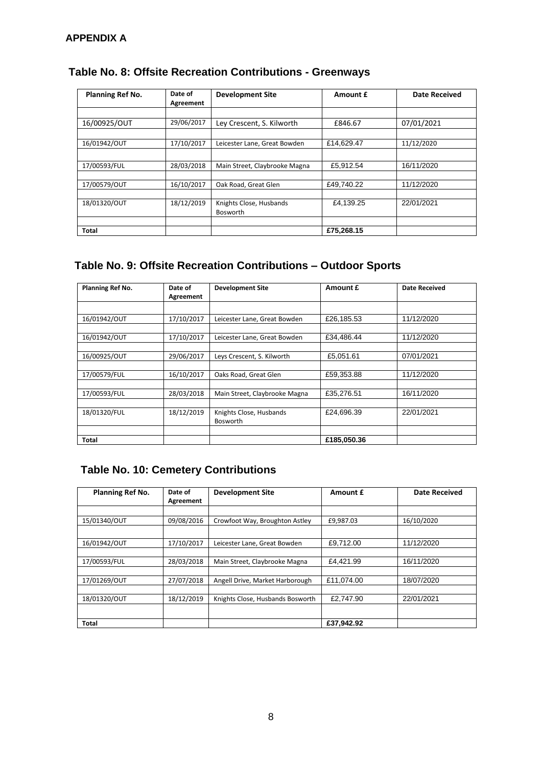| <b>Planning Ref No.</b> | Date of<br>Agreement | <b>Development Site</b>                    | Amount £   | <b>Date Received</b> |
|-------------------------|----------------------|--------------------------------------------|------------|----------------------|
|                         |                      |                                            |            |                      |
| 16/00925/OUT            | 29/06/2017           | Ley Crescent, S. Kilworth                  | £846.67    | 07/01/2021           |
|                         |                      |                                            |            |                      |
| 16/01942/OUT            | 17/10/2017           | Leicester Lane, Great Bowden               | £14.629.47 | 11/12/2020           |
|                         |                      |                                            |            |                      |
| 17/00593/FUL            | 28/03/2018           | Main Street, Claybrooke Magna              | £5.912.54  | 16/11/2020           |
|                         |                      |                                            |            |                      |
| 17/00579/OUT            | 16/10/2017           | Oak Road, Great Glen                       | £49,740.22 | 11/12/2020           |
|                         |                      |                                            |            |                      |
| 18/01320/OUT            | 18/12/2019           | Knights Close, Husbands<br><b>Bosworth</b> | £4,139.25  | 22/01/2021           |
|                         |                      |                                            |            |                      |
| Total                   |                      |                                            | £75,268.15 |                      |

# **Table No. 8: Offsite Recreation Contributions - Greenways**

### **Table No. 9: Offsite Recreation Contributions – Outdoor Sports**

| <b>Planning Ref No.</b> | Date of<br>Agreement | <b>Development Site</b>                    | Amount £    | <b>Date Received</b> |
|-------------------------|----------------------|--------------------------------------------|-------------|----------------------|
|                         |                      |                                            |             |                      |
| 16/01942/OUT            | 17/10/2017           | Leicester Lane, Great Bowden               | £26,185.53  | 11/12/2020           |
| 16/01942/OUT            | 17/10/2017           | Leicester Lane, Great Bowden               | £34,486.44  | 11/12/2020           |
| 16/00925/OUT            | 29/06/2017           | Levs Crescent, S. Kilworth                 | £5,051.61   | 07/01/2021           |
| 17/00579/FUL            | 16/10/2017           | Oaks Road, Great Glen                      | £59.353.88  | 11/12/2020           |
| 17/00593/FUL            | 28/03/2018           | Main Street, Claybrooke Magna              | £35,276.51  | 16/11/2020           |
| 18/01320/FUL            | 18/12/2019           | Knights Close, Husbands<br><b>Bosworth</b> | £24,696.39  | 22/01/2021           |
| Total                   |                      |                                            | £185,050.36 |                      |

# **Table No. 10: Cemetery Contributions**

| <b>Planning Ref No.</b> | Date of<br>Agreement | <b>Development Site</b>          | Amount £   | <b>Date Received</b> |
|-------------------------|----------------------|----------------------------------|------------|----------------------|
|                         |                      |                                  |            |                      |
| 15/01340/OUT            | 09/08/2016           | Crowfoot Way, Broughton Astley   | £9.987.03  | 16/10/2020           |
|                         |                      |                                  |            |                      |
| 16/01942/OUT            | 17/10/2017           | Leicester Lane, Great Bowden     | £9.712.00  | 11/12/2020           |
|                         |                      |                                  |            |                      |
| 17/00593/FUL            | 28/03/2018           | Main Street, Claybrooke Magna    | £4.421.99  | 16/11/2020           |
|                         |                      |                                  |            |                      |
| 17/01269/OUT            | 27/07/2018           | Angell Drive, Market Harborough  | £11.074.00 | 18/07/2020           |
|                         |                      |                                  |            |                      |
| 18/01320/OUT            | 18/12/2019           | Knights Close, Husbands Bosworth | £2,747.90  | 22/01/2021           |
|                         |                      |                                  |            |                      |
| <b>Total</b>            |                      |                                  | £37.942.92 |                      |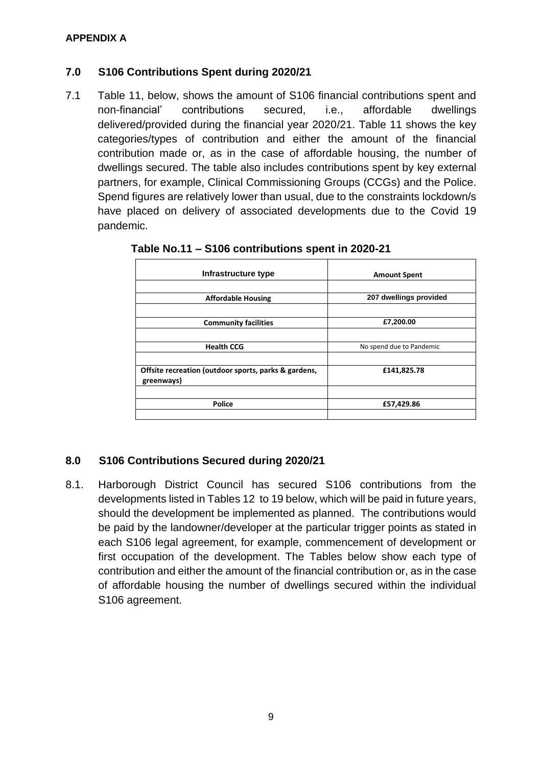### **7.0 S106 Contributions Spent during 2020/21**

7.1 Table 11, below, shows the amount of S106 financial contributions spent and non-financial' contributions secured, i.e., affordable dwellings delivered/provided during the financial year 2020/21. Table 11 shows the key categories/types of contribution and either the amount of the financial contribution made or, as in the case of affordable housing, the number of dwellings secured. The table also includes contributions spent by key external partners, for example, Clinical Commissioning Groups (CCGs) and the Police. Spend figures are relatively lower than usual, due to the constraints lockdown/s have placed on delivery of associated developments due to the Covid 19 pandemic.

| Infrastructure type                                                | <b>Amount Spent</b>      |  |  |
|--------------------------------------------------------------------|--------------------------|--|--|
| <b>Affordable Housing</b>                                          | 207 dwellings provided   |  |  |
| <b>Community facilities</b>                                        | £7,200.00                |  |  |
| <b>Health CCG</b>                                                  | No spend due to Pandemic |  |  |
| Offsite recreation (outdoor sports, parks & gardens,<br>greenways) | £141,825.78              |  |  |
| <b>Police</b>                                                      | £57,429.86               |  |  |

### **Table No.11 – S106 contributions spent in 2020-21**

### **8.0 S106 Contributions Secured during 2020/21**

8.1. Harborough District Council has secured S106 contributions from the developments listed in Tables 12 to 19 below, which will be paid in future years, should the development be implemented as planned. The contributions would be paid by the landowner/developer at the particular trigger points as stated in each S106 legal agreement, for example, commencement of development or first occupation of the development. The Tables below show each type of contribution and either the amount of the financial contribution or, as in the case of affordable housing the number of dwellings secured within the individual S106 agreement.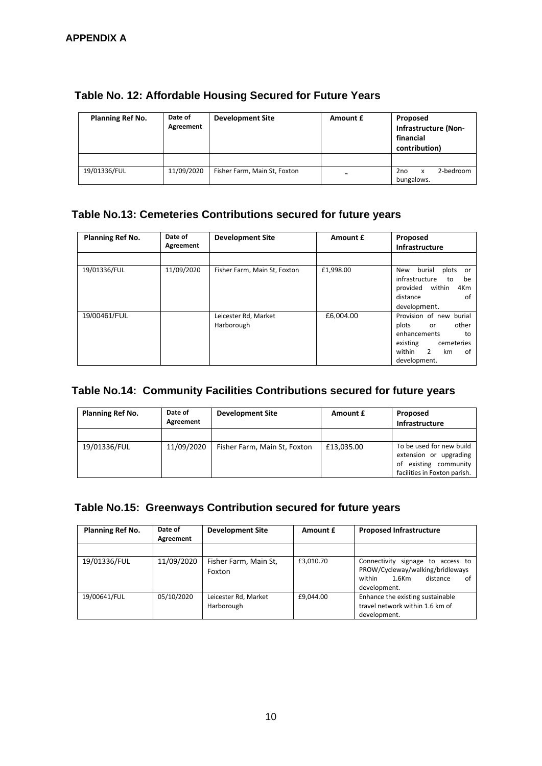| Planning Ref No. | Date of<br>Agreement | <b>Development Site</b>      | Amount £                 | Proposed<br>Infrastructure (Non-<br>financial<br>contribution) |
|------------------|----------------------|------------------------------|--------------------------|----------------------------------------------------------------|
|                  |                      |                              |                          |                                                                |
| 19/01336/FUL     | 11/09/2020           | Fisher Farm, Main St, Foxton | $\overline{\phantom{0}}$ | 2-bedroom<br>2no<br>x<br>bungalows.                            |

### **Table No. 12: Affordable Housing Secured for Future Years**

# **Table No.13: Cemeteries Contributions secured for future years**

| Planning Ref No. | Date of<br>Agreement | <b>Development Site</b>            | Amount £  | Proposed<br>Infrastructure                                                                                                              |
|------------------|----------------------|------------------------------------|-----------|-----------------------------------------------------------------------------------------------------------------------------------------|
|                  |                      |                                    |           |                                                                                                                                         |
| 19/01336/FUL     | 11/09/2020           | Fisher Farm, Main St, Foxton       | £1,998.00 | burial<br>plots<br>New<br>or.<br>infrastructure<br>to<br>be<br>within<br>provided<br>4Km<br>distance<br>of<br>development.              |
| 19/00461/FUL     |                      | Leicester Rd, Market<br>Harborough | £6,004.00 | Provision of new burial<br>other<br>plots<br>or<br>enhancements<br>to<br>existing<br>cemeteries<br>within 2<br>km<br>of<br>development. |

# **Table No.14: Community Facilities Contributions secured for future years**

| Planning Ref No. | Date of<br>Agreement | <b>Development Site</b>      | Amount £   | Proposed<br>Infrastructure                                                                                     |
|------------------|----------------------|------------------------------|------------|----------------------------------------------------------------------------------------------------------------|
|                  |                      |                              |            |                                                                                                                |
| 19/01336/FUL     | 11/09/2020           | Fisher Farm, Main St, Foxton | £13,035.00 | To be used for new build<br>extension or upgrading<br>existing community<br>of<br>facilities in Foxton parish. |

### **Table No.15: Greenways Contribution secured for future years**

| Planning Ref No. | Date of<br>Agreement | <b>Development Site</b>            | Amount £  | <b>Proposed Infrastructure</b>                                                                                                |
|------------------|----------------------|------------------------------------|-----------|-------------------------------------------------------------------------------------------------------------------------------|
|                  |                      |                                    |           |                                                                                                                               |
| 19/01336/FUL     | 11/09/2020           | Fisher Farm, Main St,<br>Foxton    | £3,010.70 | Connectivity signage to access to<br>PROW/Cycleway/walking/bridleways<br>within<br>$1.6$ Km<br>distance<br>of<br>development. |
| 19/00641/FUL     | 05/10/2020           | Leicester Rd, Market<br>Harborough | £9,044.00 | Enhance the existing sustainable<br>travel network within 1.6 km of<br>development.                                           |